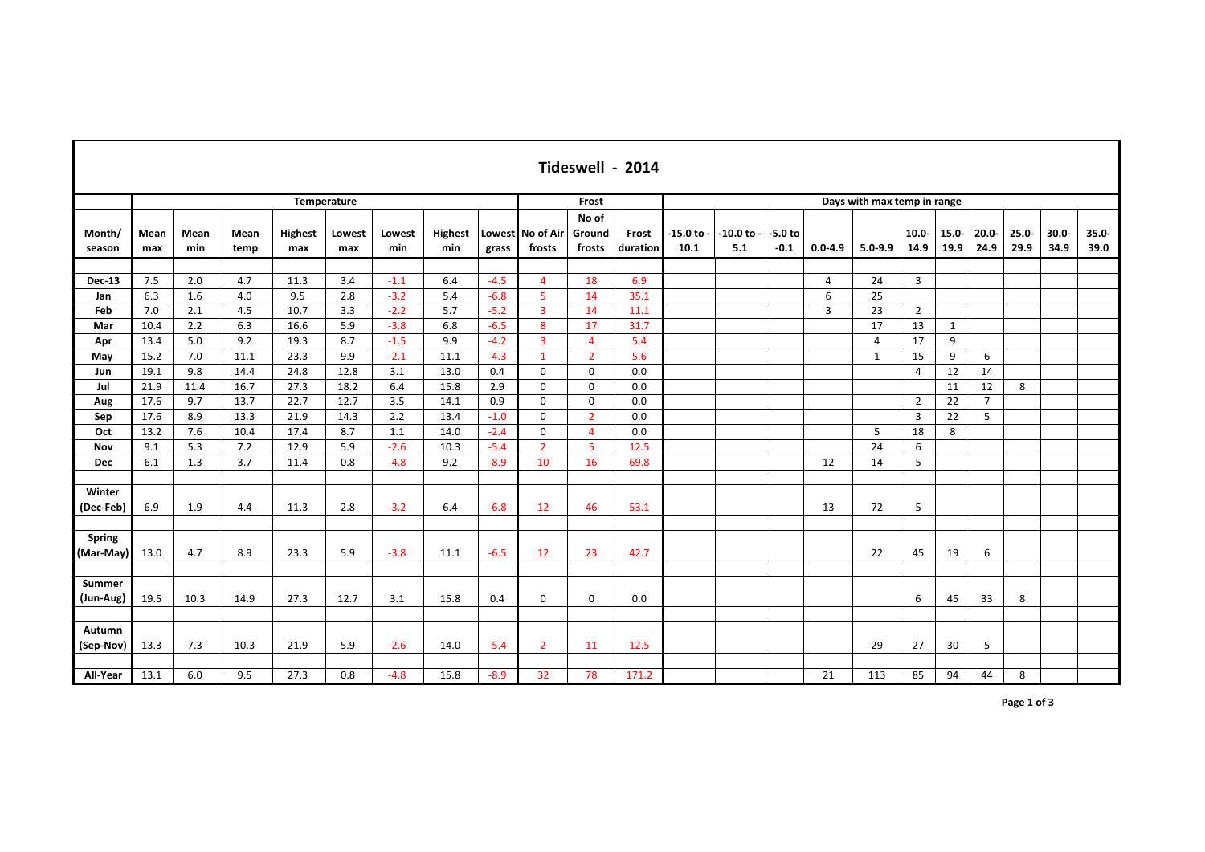| Tideswell - 2014           |              |             |              |                       |               |                  |                |                  |                            |                                  |                             |                    |                  |                     |                |                |                  |                  |                  |                  |                  |                  |
|----------------------------|--------------|-------------|--------------|-----------------------|---------------|------------------|----------------|------------------|----------------------------|----------------------------------|-----------------------------|--------------------|------------------|---------------------|----------------|----------------|------------------|------------------|------------------|------------------|------------------|------------------|
|                            |              |             |              |                       | Temperature   |                  |                |                  | Frost                      |                                  | Days with max temp in range |                    |                  |                     |                |                |                  |                  |                  |                  |                  |                  |
| Month/<br>season           | Mean<br>max  | Mean<br>min | Mean<br>temp | <b>Highest</b><br>max | Lowest<br>max | Lowest<br>min    | Highest<br>min | grass            | Lowest No of Air<br>frosts | No of<br>Ground<br>frosts        | Frost<br>duration           | $-15.0$ to<br>10.1 | 10.0 to -<br>5.1 | $-5.0$ to<br>$-0.1$ | $0.0 - 4.9$    | $5.0 - 9.9$    | $10.0 -$<br>14.9 | $15.0 -$<br>19.9 | $20.0 -$<br>24.9 | $25.0 -$<br>29.9 | $30.0 -$<br>34.9 | $35.0 -$<br>39.0 |
|                            |              |             |              |                       |               |                  |                |                  |                            |                                  |                             |                    |                  |                     |                |                |                  |                  |                  |                  |                  |                  |
| Dec-13                     | 7.5          | 2.0         | 4.7          | 11.3                  | 3.4           | $-1.1$           | 6.4            | $-4.5$           | 4                          | 18                               | 6.9                         |                    |                  |                     | 4              | 24             | 3                |                  |                  |                  |                  |                  |
| Jan                        | 6.3          | 1.6         | 4.0          | 9.5                   | 2.8           | $-3.2$           | 5.4            | $-6.8$           | 5                          | 14                               | 35.1                        |                    |                  |                     | 6              | 25             |                  |                  |                  |                  |                  |                  |
| Feb                        | 7.0          | 2.1         | 4.5          | 10.7                  | 3.3           | $-2.2$           | 5.7            | $-5.2$           | $\overline{3}$             | 14                               | 11.1                        |                    |                  |                     | $\overline{3}$ | 23             | $\overline{2}$   |                  |                  |                  |                  |                  |
| Mar                        | 10.4         | 2.2         | 6.3          | 16.6                  | 5.9           | $-3.8$           | 6.8            | $-6.5$           | 8                          | 17                               | 31.7                        |                    |                  |                     |                | 17             | 13               | $\mathbf{1}$     |                  |                  |                  |                  |
| Apr                        | 13.4<br>15.2 | 5.0<br>7.0  | 9.2<br>11.1  | 19.3<br>23.3          | 8.7<br>9.9    | $-1.5$<br>$-2.1$ | 9.9            | $-4.2$<br>$-4.3$ | $\overline{3}$             | $\overline{4}$<br>$\overline{2}$ | 5.4<br>5.6                  |                    |                  |                     |                | $\overline{4}$ | 17               | 9                |                  |                  |                  |                  |
| May                        |              |             |              |                       |               |                  | 11.1           |                  | $\mathbf{1}$               |                                  |                             |                    |                  |                     |                | $\mathbf{1}$   | 15               | 9                | 6                |                  |                  |                  |
| Jun<br>Jul                 | 19.1<br>21.9 | 9.8<br>11.4 | 14.4<br>16.7 | 24.8<br>27.3          | 12.8<br>18.2  | 3.1<br>6.4       | 13.0<br>15.8   | 0.4<br>2.9       | $\mathbf 0$<br>$\Omega$    | $\mathbf 0$<br>$\mathbf 0$       | 0.0<br>0.0                  |                    |                  |                     |                |                | $\overline{4}$   | 12<br>11         | 14<br>12         | 8                |                  |                  |
|                            | 17.6         | 9.7         | 13.7         | 22.7                  | 12.7          | 3.5              | 14.1           | 0.9              | $\Omega$                   | $\mathbf 0$                      | 0.0                         |                    |                  |                     |                |                | $\overline{2}$   | 22               | $\overline{7}$   |                  |                  |                  |
| Aug<br>Sep                 | 17.6         | 8.9         | 13.3         | 21.9                  | 14.3          | 2.2              | 13.4           | $-1.0$           | $\mathbf 0$                | $\overline{2}$                   | 0.0                         |                    |                  |                     |                |                | 3                | 22               | 5                |                  |                  |                  |
| Oct                        | 13.2         | 7.6         | 10.4         | 17.4                  | 8.7           | 1.1              | 14.0           | $-2.4$           | $\mathbf 0$                | $\overline{4}$                   | 0.0                         |                    |                  |                     |                | 5              | 18               | 8                |                  |                  |                  |                  |
| Nov                        | 9.1          | 5.3         | 7.2          | 12.9                  | 5.9           | $-2.6$           | 10.3           | $-5.4$           | $\overline{2}$             | 5                                | 12.5                        |                    |                  |                     |                | 24             | 6                |                  |                  |                  |                  |                  |
| <b>Dec</b>                 | 6.1          | 1.3         | 3.7          | 11.4                  | 0.8           | $-4.8$           | 9.2            | $-8.9$           | 10                         | 16                               | 69.8                        |                    |                  |                     | 12             | 14             | 5                |                  |                  |                  |                  |                  |
|                            |              |             |              |                       |               |                  |                |                  |                            |                                  |                             |                    |                  |                     |                |                |                  |                  |                  |                  |                  |                  |
| Winter                     |              |             |              |                       |               |                  |                |                  |                            |                                  |                             |                    |                  |                     |                |                |                  |                  |                  |                  |                  |                  |
| (Dec-Feb)                  | 6.9          | 1.9         | 4.4          | 11.3                  | 2.8           | $-3.2$           | 6.4            | $-6.8$           | 12                         | 46                               | 53.1                        |                    |                  |                     | 13             | 72             | 5                |                  |                  |                  |                  |                  |
|                            |              |             |              |                       |               |                  |                |                  |                            |                                  |                             |                    |                  |                     |                |                |                  |                  |                  |                  |                  |                  |
| <b>Spring</b><br>(Mar-May) | 13.0         | 4.7         | 8.9          | 23.3                  | 5.9           | $-3.8$           | 11.1           | $-6.5$           | 12                         | 23                               | 42.7                        |                    |                  |                     |                | 22             | 45               | 19               | 6                |                  |                  |                  |
| Summer<br>(Jun-Aug)        | 19.5         | 10.3        | 14.9         | 27.3                  | 12.7          | 3.1              | 15.8           | 0.4              | $\Omega$                   | $\mathbf 0$                      | 0.0                         |                    |                  |                     |                |                | 6                | 45               | 33               | 8                |                  |                  |
|                            |              |             |              |                       |               |                  |                |                  |                            |                                  |                             |                    |                  |                     |                |                |                  |                  |                  |                  |                  |                  |
| Autumn<br>(Sep-Nov)        | 13.3         | 7.3         | 10.3         | 21.9                  | 5.9           | $-2.6$           | 14.0           | $-5.4$           | $\overline{2}$             | 11                               | 12.5                        |                    |                  |                     |                | 29             | 27               | 30               | 5                |                  |                  |                  |
| All-Year                   | 13.1         | 6.0         | 9.5          | 27.3                  | 0.8           | $-4.8$           | 15.8           | $-8.9$           | 32                         | 78                               | 171.2                       |                    |                  |                     | 21             | 113            | 85               | 94               | 44               | 8                |                  |                  |

 $\mathbf{I}$ 

**Page 1 of 3**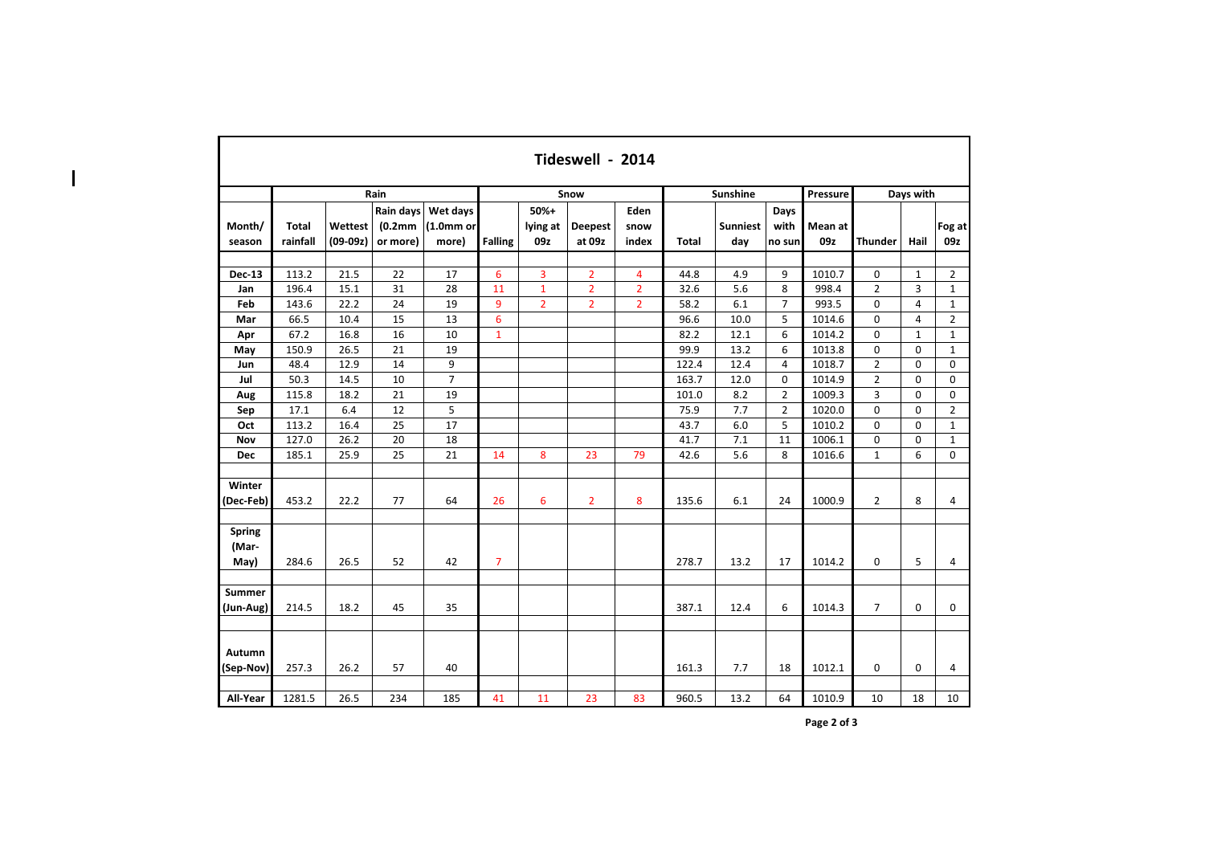|                                | Tideswell - 2014         |                       |                                               |                                           |                |                           |                          |                       |              |                        |                        |                |                |              |                |  |
|--------------------------------|--------------------------|-----------------------|-----------------------------------------------|-------------------------------------------|----------------|---------------------------|--------------------------|-----------------------|--------------|------------------------|------------------------|----------------|----------------|--------------|----------------|--|
| Rain                           |                          |                       |                                               |                                           |                |                           | Snow                     |                       |              | <b>Sunshine</b>        |                        | Pressure       | Days with      |              |                |  |
| Month/<br>season               | <b>Total</b><br>rainfall | Wettest<br>$(09-09z)$ | Rain days<br>(0.2 <sub>mm</sub> )<br>or more) | Wet days<br>(1.0 <sub>mm</sub> )<br>more) | <b>Falling</b> | $50%+$<br>lying at<br>09z | <b>Deepest</b><br>at 09z | Eden<br>snow<br>index | <b>Total</b> | <b>Sunniest</b><br>day | Days<br>with<br>no sun | Mean at<br>09z | <b>Thunder</b> | Hail         | Fog at<br>09z  |  |
| Dec-13                         | 113.2                    | 21.5                  | 22                                            | 17                                        | 6              | 3                         | $\overline{2}$           | 4                     | 44.8         | 4.9                    | 9                      | 1010.7         | 0              | $\mathbf{1}$ | $\overline{2}$ |  |
| Jan                            | 196.4                    | 15.1                  | 31                                            | 28                                        | 11             | $\mathbf{1}$              | $\overline{2}$           | $\overline{2}$        | 32.6         | 5.6                    | 8                      | 998.4          | $\overline{2}$ | 3            | $\mathbf{1}$   |  |
| Feb                            | 143.6                    | 22.2                  | 24                                            | 19                                        | 9              | $\overline{2}$            | $\overline{2}$           | $\overline{2}$        | 58.2         | 6.1                    | $\overline{7}$         | 993.5          | 0              | 4            | $\mathbf{1}$   |  |
| Mar                            | 66.5                     | 10.4                  | 15                                            | 13                                        | 6              |                           |                          |                       | 96.6         | 10.0                   | 5                      | 1014.6         | $\Omega$       | 4            | $\overline{2}$ |  |
| Apr                            | 67.2                     | 16.8                  | 16                                            | 10                                        | $\mathbf{1}$   |                           |                          |                       | 82.2         | 12.1                   | 6                      | 1014.2         | 0              | $\mathbf 1$  | $\mathbf{1}$   |  |
| May                            | 150.9                    | 26.5                  | 21                                            | 19                                        |                |                           |                          |                       | 99.9         | 13.2                   | 6                      | 1013.8         | $\Omega$       | $\Omega$     | $\mathbf{1}$   |  |
| Jun                            | 48.4                     | 12.9                  | 14                                            | 9                                         |                |                           |                          |                       | 122.4        | 12.4                   | 4                      | 1018.7         | $\overline{2}$ | 0            | $\mathbf 0$    |  |
| Jul                            | 50.3                     | 14.5                  | 10                                            | $\overline{7}$                            |                |                           |                          |                       | 163.7        | 12.0                   | 0                      | 1014.9         | $\overline{2}$ | $\mathbf 0$  | $\mathbf 0$    |  |
| Aug                            | 115.8                    | 18.2                  | 21                                            | 19                                        |                |                           |                          |                       | 101.0        | 8.2                    | $\overline{2}$         | 1009.3         | 3              | $\Omega$     | $\mathbf 0$    |  |
| Sep                            | 17.1                     | 6.4                   | 12                                            | 5                                         |                |                           |                          |                       | 75.9         | 7.7                    | $\overline{2}$         | 1020.0         | 0              | 0            | $\overline{2}$ |  |
| Oct                            | 113.2                    | 16.4                  | 25                                            | 17                                        |                |                           |                          |                       | 43.7         | 6.0                    | 5                      | 1010.2         | 0              | $\mathbf 0$  | $\mathbf{1}$   |  |
| Nov                            | 127.0                    | 26.2                  | 20                                            | 18                                        |                |                           |                          |                       | 41.7         | 7.1                    | 11                     | 1006.1         | 0              | 0            | $\mathbf{1}$   |  |
| <b>Dec</b>                     | 185.1                    | 25.9                  | 25                                            | 21                                        | 14             | 8                         | 23                       | 79                    | 42.6         | 5.6                    | 8                      | 1016.6         | $\mathbf{1}$   | 6            | $\mathbf 0$    |  |
| Winter<br>(Dec-Feb)            | 453.2                    | 22.2                  | 77                                            | 64                                        | 26             | 6                         | $\overline{2}$           | 8                     | 135.6        | 6.1                    | 24                     | 1000.9         | $\overline{2}$ | 8            | 4              |  |
| <b>Spring</b><br>(Mar-<br>May) | 284.6                    | 26.5                  | 52                                            | 42                                        | $\overline{7}$ |                           |                          |                       | 278.7        | 13.2                   | 17                     | 1014.2         | 0              | 5            | 4              |  |
|                                |                          |                       |                                               |                                           |                |                           |                          |                       |              |                        |                        |                |                |              |                |  |
| <b>Summer</b><br>(Jun-Aug)     | 214.5                    | 18.2                  | 45                                            | 35                                        |                |                           |                          |                       | 387.1        | 12.4                   | 6                      | 1014.3         | $\overline{7}$ | 0            | 0              |  |
| Autumn<br>(Sep-Nov)            | 257.3                    | 26.2                  | 57                                            | 40                                        |                |                           |                          |                       | 161.3        | 7.7                    | 18                     | 1012.1         | 0              | $\bf{0}$     | 4              |  |
| All-Year                       | 1281.5                   | 26.5                  | 234                                           | 185                                       | 41             | 11                        | 23                       | 83                    | 960.5        | 13.2                   | 64                     | 1010.9         | 10             | 18           | 10             |  |

 $\overline{\phantom{a}}$ 

**Page 2 of 3**